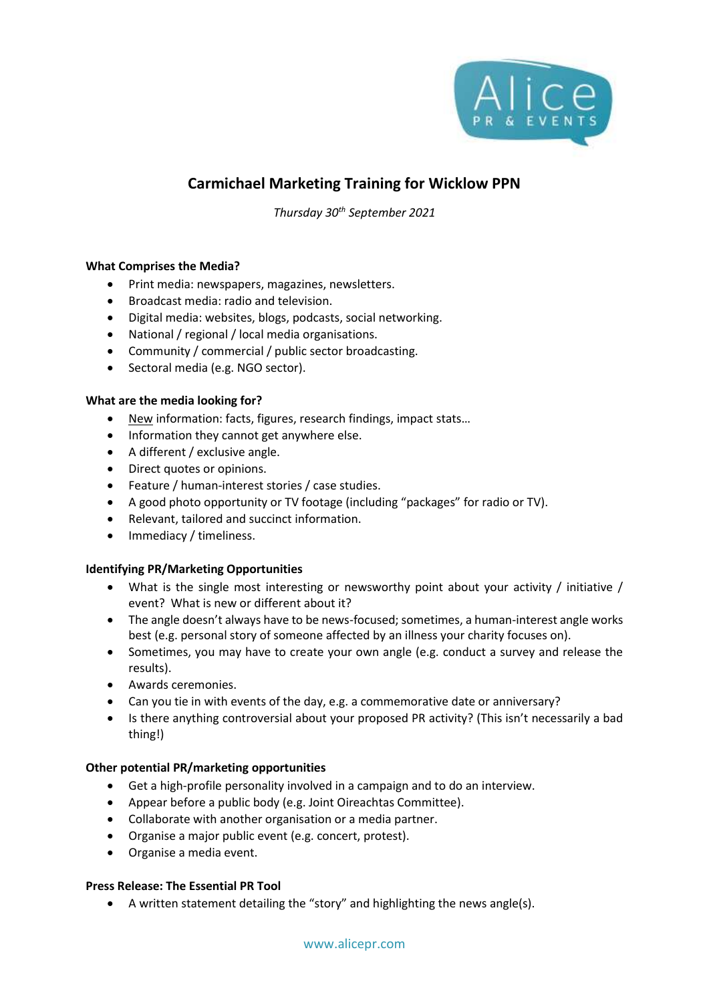

# **Carmichael Marketing Training for Wicklow PPN**

*Thursday 30th September 2021*

## **What Comprises the Media?**

- Print media: newspapers, magazines, newsletters.
- Broadcast media: radio and television.
- Digital media: websites, blogs, podcasts, social networking.
- National / regional / local media organisations.
- Community / commercial / public sector broadcasting.
- Sectoral media (e.g. NGO sector).

### **What are the media looking for?**

- New information: facts, figures, research findings, impact stats…
- Information they cannot get anywhere else.
- A different / exclusive angle.
- Direct quotes or opinions.
- Feature / human-interest stories / case studies.
- A good photo opportunity or TV footage (including "packages" for radio or TV).
- Relevant, tailored and succinct information.
- Immediacy / timeliness.

### **Identifying PR/Marketing Opportunities**

- What is the single most interesting or newsworthy point about your activity / initiative / event? What is new or different about it?
- The angle doesn't always have to be news-focused; sometimes, a human-interest angle works best (e.g. personal story of someone affected by an illness your charity focuses on).
- Sometimes, you may have to create your own angle (e.g. conduct a survey and release the results).
- Awards ceremonies.
- Can you tie in with events of the day, e.g. a commemorative date or anniversary?
- Is there anything controversial about your proposed PR activity? (This isn't necessarily a bad thing!)

### **Other potential PR/marketing opportunities**

- Get a high-profile personality involved in a campaign and to do an interview.
- Appear before a public body (e.g. Joint Oireachtas Committee).
- Collaborate with another organisation or a media partner.
- Organise a major public event (e.g. concert, protest).
- Organise a media event.

### **Press Release: The Essential PR Tool**

• A written statement detailing the "story" and highlighting the news angle(s).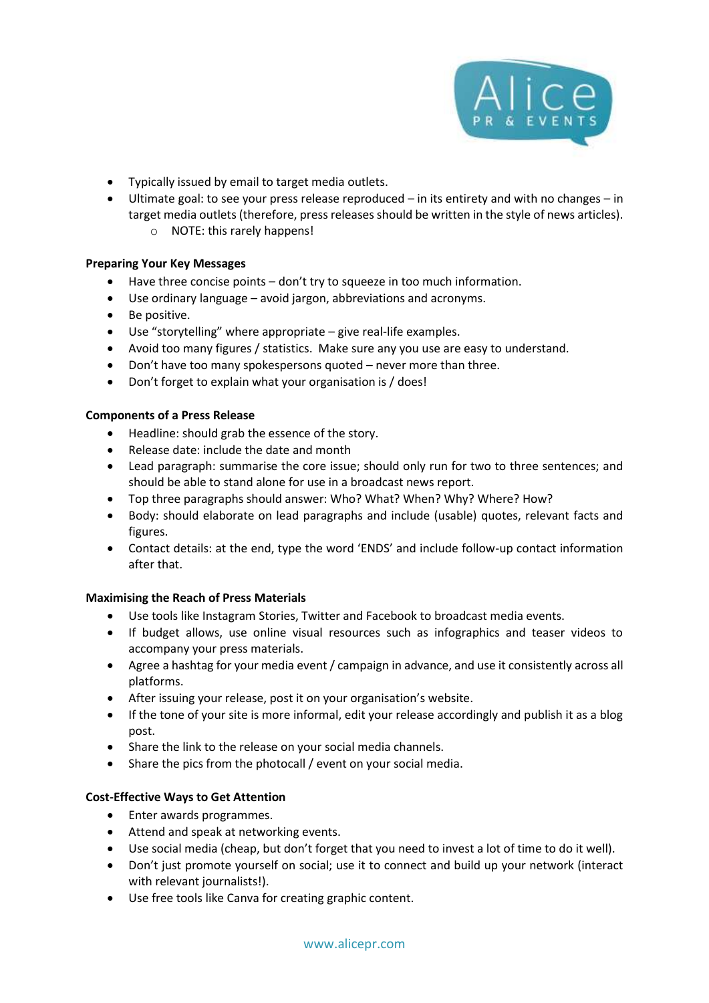

- Typically issued by email to target media outlets.
- Ultimate goal: to see your press release reproduced in its entirety and with no changes in target media outlets (therefore, press releases should be written in the style of news articles).
	- o NOTE: this rarely happens!

## **Preparing Your Key Messages**

- Have three concise points don't try to squeeze in too much information.
- Use ordinary language avoid jargon, abbreviations and acronyms.
- Be positive.
- Use "storytelling" where appropriate give real-life examples.
- Avoid too many figures / statistics. Make sure any you use are easy to understand.
- Don't have too many spokespersons quoted never more than three.
- Don't forget to explain what your organisation is / does!

## **Components of a Press Release**

- Headline: should grab the essence of the story.
- Release date: include the date and month
- Lead paragraph: summarise the core issue; should only run for two to three sentences; and should be able to stand alone for use in a broadcast news report.
- Top three paragraphs should answer: Who? What? When? Why? Where? How?
- Body: should elaborate on lead paragraphs and include (usable) quotes, relevant facts and figures.
- Contact details: at the end, type the word 'ENDS' and include follow-up contact information after that.

## **Maximising the Reach of Press Materials**

- Use tools like Instagram Stories, Twitter and Facebook to broadcast media events.
- If budget allows, use online visual resources such as infographics and teaser videos to accompany your press materials.
- Agree a hashtag for your media event / campaign in advance, and use it consistently across all platforms.
- After issuing your release, post it on your organisation's website.
- If the tone of your site is more informal, edit your release accordingly and publish it as a blog post.
- Share the link to the release on your social media channels.
- Share the pics from the photocall / event on your social media.

## **Cost-Effective Ways to Get Attention**

- Enter awards programmes.
- Attend and speak at networking events.
- Use social media (cheap, but don't forget that you need to invest a lot of time to do it well).
- Don't just promote yourself on social; use it to connect and build up your network (interact with relevant journalists!).
- Use free tools like Canva for creating graphic content.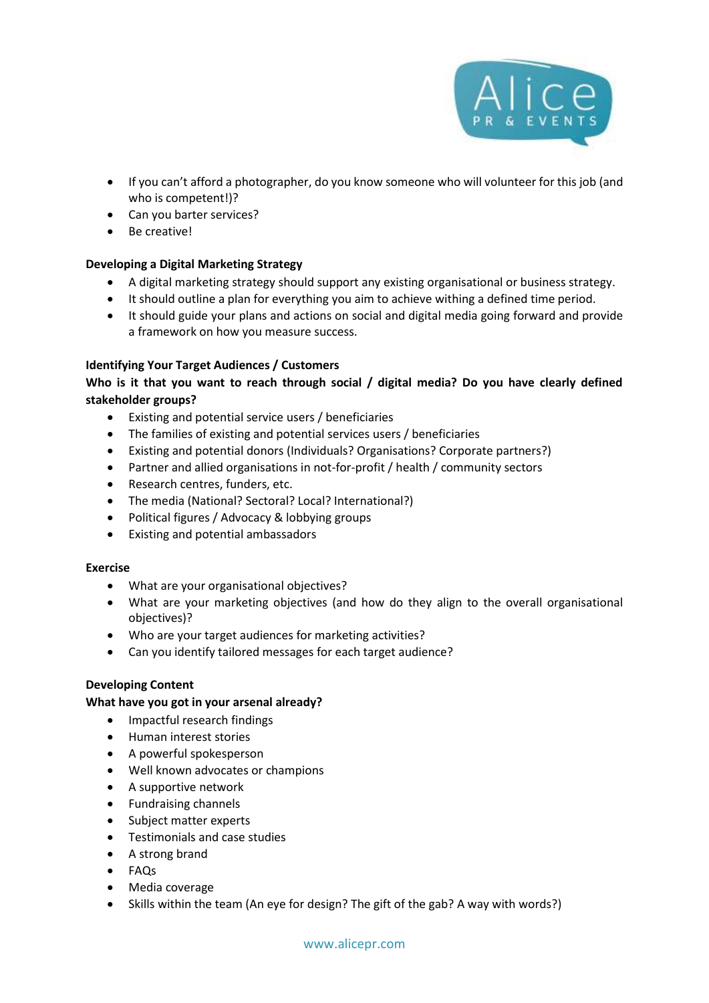

- If you can't afford a photographer, do you know someone who will volunteer for this job (and who is competent!)?
- Can you barter services?
- Be creative!

## **Developing a Digital Marketing Strategy**

- A digital marketing strategy should support any existing organisational or business strategy.
- It should outline a plan for everything you aim to achieve withing a defined time period.
- It should guide your plans and actions on social and digital media going forward and provide a framework on how you measure success.

## **Identifying Your Target Audiences / Customers**

# **Who is it that you want to reach through social / digital media? Do you have clearly defined stakeholder groups?**

- Existing and potential service users / beneficiaries
- The families of existing and potential services users / beneficiaries
- Existing and potential donors (Individuals? Organisations? Corporate partners?)
- Partner and allied organisations in not-for-profit / health / community sectors
- Research centres, funders, etc.
- The media (National? Sectoral? Local? International?)
- Political figures / Advocacy & lobbying groups
- Existing and potential ambassadors

### **Exercise**

- What are your organisational objectives?
- What are your marketing objectives (and how do they align to the overall organisational objectives)?
- Who are your target audiences for marketing activities?
- Can you identify tailored messages for each target audience?

## **Developing Content**

### **What have you got in your arsenal already?**

- Impactful research findings
- Human interest stories
- A powerful spokesperson
- Well known advocates or champions
- A supportive network
- Fundraising channels
- Subject matter experts
- Testimonials and case studies
- A strong brand
- FAQs
- Media coverage
- Skills within the team (An eye for design? The gift of the gab? A way with words?)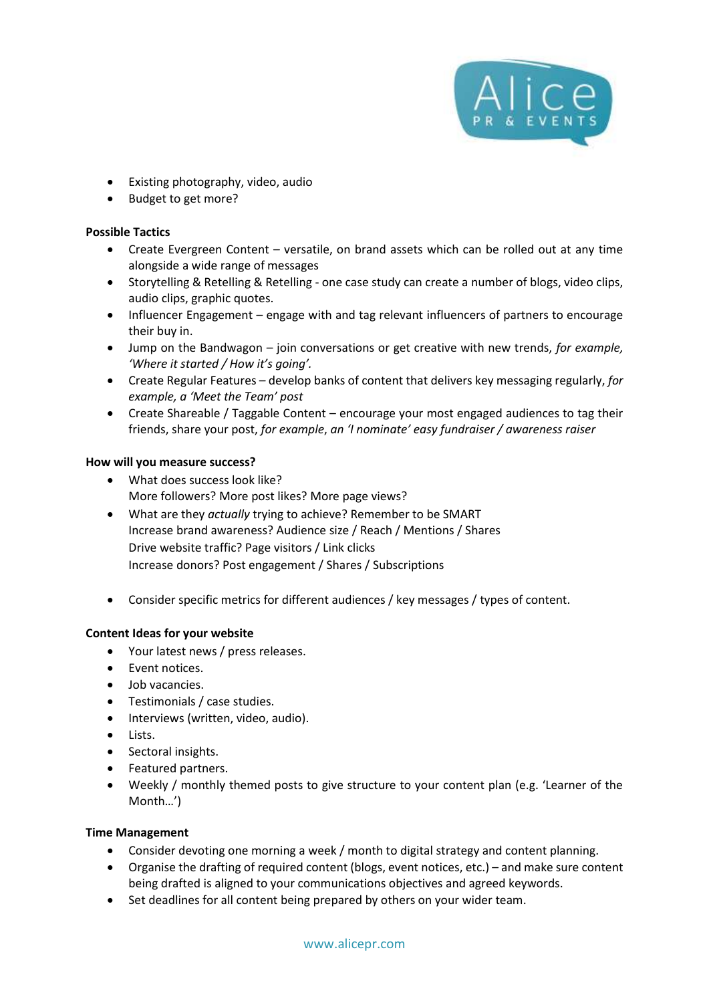

- Existing photography, video, audio
- Budget to get more?

## **Possible Tactics**

- Create Evergreen Content versatile, on brand assets which can be rolled out at any time alongside a wide range of messages
- Storytelling & Retelling & Retelling one case study can create a number of blogs, video clips, audio clips, graphic quotes.
- Influencer Engagement engage with and tag relevant influencers of partners to encourage their buy in.
- Jump on the Bandwagon join conversations or get creative with new trends, *for example, 'Where it started / How it's going'.*
- Create Regular Features develop banks of content that delivers key messaging regularly, *for example, a 'Meet the Team' post*
- Create Shareable / Taggable Content encourage your most engaged audiences to tag their friends, share your post, *for example*, *an 'I nominate' easy fundraiser / awareness raiser*

### **How will you measure success?**

- What does success look like? More followers? More post likes? More page views?
- What are they *actually* trying to achieve? Remember to be SMART Increase brand awareness? Audience size / Reach / Mentions / Shares Drive website traffic? Page visitors / Link clicks Increase donors? Post engagement / Shares / Subscriptions
- Consider specific metrics for different audiences / key messages / types of content.

### **Content Ideas for your website**

- Your latest news / press releases.
- Event notices.
- Job vacancies.
- Testimonials / case studies.
- Interviews (written, video, audio).
- Lists.
- Sectoral insights.
- Featured partners.
- Weekly / monthly themed posts to give structure to your content plan (e.g. 'Learner of the Month…')

### **Time Management**

- Consider devoting one morning a week / month to digital strategy and content planning.
- Organise the drafting of required content (blogs, event notices, etc.) and make sure content being drafted is aligned to your communications objectives and agreed keywords.
- Set deadlines for all content being prepared by others on your wider team.